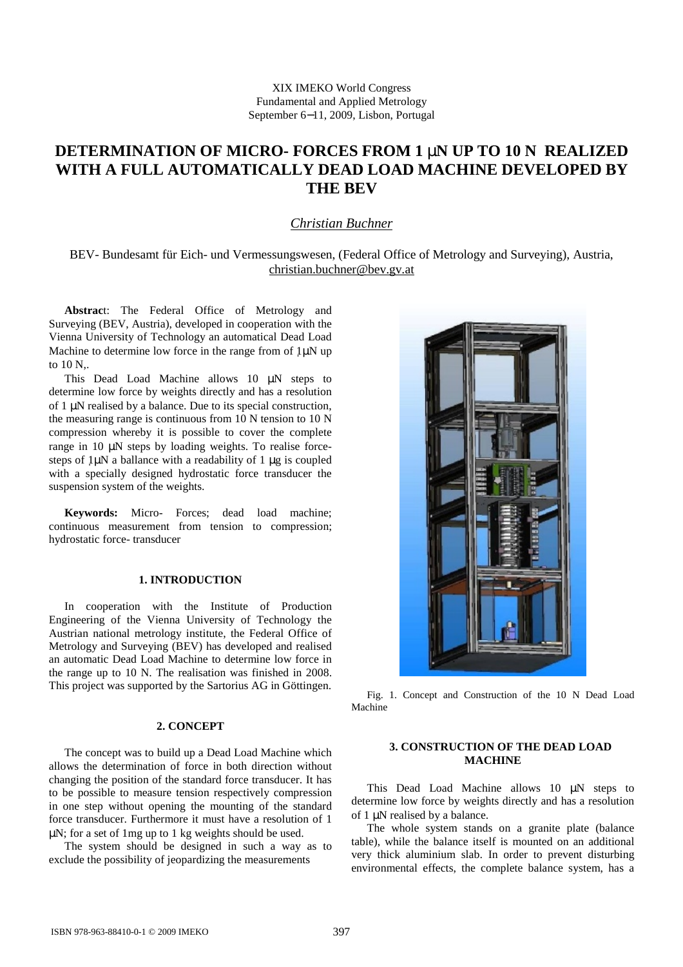# **DETERMINATION OF MICRO- FORCES FROM 1 mN UP TO 10 N REALIZED WITH A FULL AUTOMATICALLY DEAD LOAD MACHINE DEVELOPED BY THE BEV**

# *Christian Buchner*

BEV- Bundesamt für Eich- und Vermessungswesen, (Federal Office of Metrology and Surveying), Austria, [christian.buchner@bev.gv.at](mailto:christian.buchner@bev.gv.at)

**Abstrac**t: The Federal Office of Metrology and Surveying (BEV, Austria), developed in cooperation with the Vienna University of Technology an automatical Dead Load Machine to determine low force in the range from of  $1\mu$ N up to 10 N,.

This Dead Load Machine allows 10 μN steps to determine low force by weights directly and has a resolution of 1 μN realised by a balance. Due to its special construction, the measuring range is continuous from 10 N tension to 10 N compression whereby it is possible to cover the complete range in 10 μN steps by loading weights. To realise forcesteps of 1μN a ballance with a readability of 1 μg is coupled with a specially designed hydrostatic force transducer the suspension system of the weights.

**Keywords:** Micro- Forces; dead load machine; continuous measurement from tension to compression; hydrostatic force- transducer

#### **1. INTRODUCTION**

In cooperation with the Institute of Production Engineering of the Vienna University of Technology the Austrian national metrology institute, the Federal Office of Metrology and Surveying (BEV) has developed and realised an automatic Dead Load Machine to determine low force in the range up to 10 N. The realisation was finished in 2008. This project was supported by the Sartorius AG in Göttingen.

# **2. CONCEPT**

The concept was to build up a Dead Load Machine which allows the determination of force in both direction without changing the position of the standard force transducer. It has to be possible to measure tension respectively compression in one step without opening the mounting of the standard force transducer. Furthermore it must have a resolution of 1 μN; for a set of 1mg up to 1 kg weights should be used.

The system should be designed in such a way as to exclude the possibility of jeopardizing the measurements



Fig. 1. Concept and Construction of the 10 N Dead Load Machine

#### **3. CONSTRUCTION OF THE DEAD LOAD MACHINE**

This Dead Load Machine allows 10 μN steps to determine low force by weights directly and has a resolution of 1 μN realised by a balance.

The whole system stands on a granite plate (balance table), while the balance itself is mounted on an additional very thick aluminium slab. In order to prevent disturbing environmental effects, the complete balance system, has a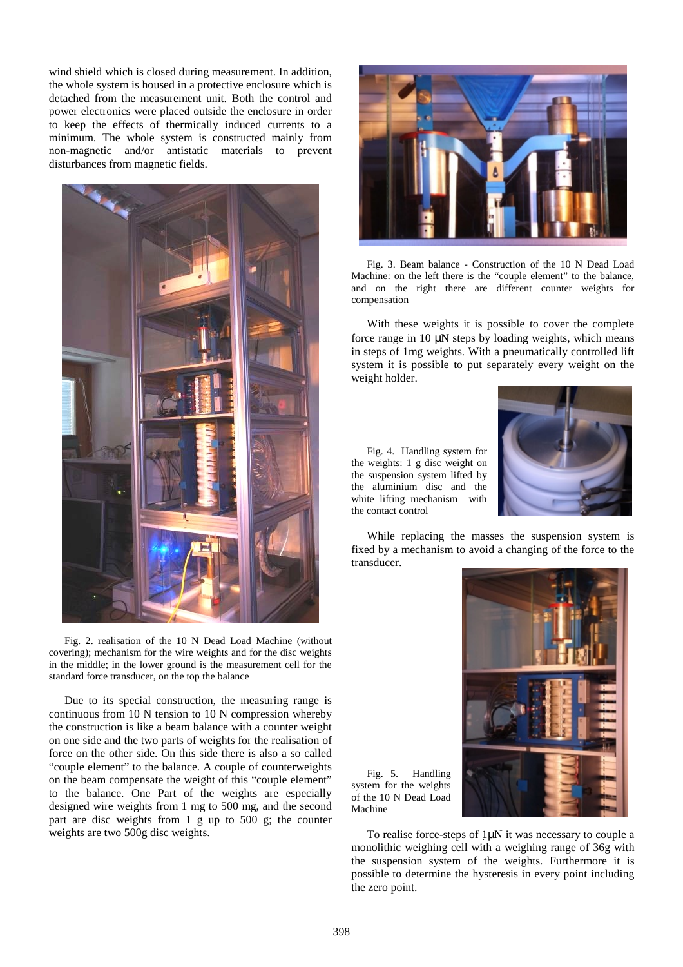wind shield which is closed during measurement. In addition, the whole system is housed in a protective enclosure which is detached from the measurement unit. Both the control and power electronics were placed outside the enclosure in order to keep the effects of thermically induced currents to a minimum. The whole system is constructed mainly from non-magnetic and/or antistatic materials to prevent disturbances from magnetic fields.



Fig. 2. realisation of the 10 N Dead Load Machine (without covering); mechanism for the wire weights and for the disc weights in the middle; in the lower ground is the measurement cell for the standard force transducer, on the top the balance

Due to its special construction, the measuring range is continuous from 10 N tension to 10 N compression whereby the construction is like a beam balance with a counter weight on one side and the two parts of weights for the realisation of force on the other side. On this side there is also a so called "couple element" to the balance. A couple of counterweights on the beam compensate the weight of this "couple element" to the balance. One Part of the weights are especially designed wire weights from 1 mg to 500 mg, and the second part are disc weights from 1 g up to 500 g; the counter weights are two 500g disc weights.



Fig. 3. Beam balance - Construction of the 10 N Dead Load Machine: on the left there is the "couple element" to the balance, and on the right there are different counter weights for compensation

With these weights it is possible to cover the complete force range in 10 μN steps by loading weights, which means in steps of 1mg weights. With a pneumatically controlled lift system it is possible to put separately every weight on the weight holder.

Fig. 4. Handling system for the weights: 1 g disc weight on the suspension system lifted by the aluminium disc and the white lifting mechanism with the contact control



While replacing the masses the suspension system is fixed by a mechanism to avoid a changing of the force to the transducer.

Fig. 5. Handling system for the weights of the 10 N Dead Load Machine



To realise force-steps of 1μN it was necessary to couple a monolithic weighing cell with a weighing range of 36g with the suspension system of the weights. Furthermore it is possible to determine the hysteresis in every point including the zero point.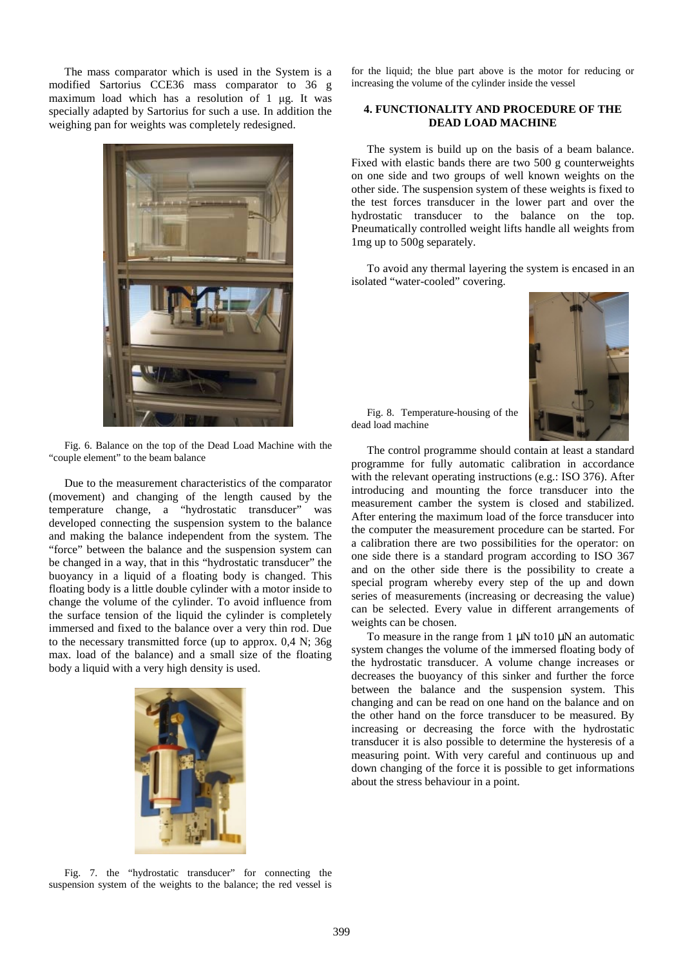The mass comparator which is used in the System is a modified Sartorius CCE36 mass comparator to 36 g maximum load which has a resolution of 1 μg. It was specially adapted by Sartorius for such a use. In addition the weighing pan for weights was completely redesigned.



Fig. 6. Balance on the top of the Dead Load Machine with the "couple element" to the beam balance

Due to the measurement characteristics of the comparator (movement) and changing of the length caused by the temperature change, a "hydrostatic transducer" was developed connecting the suspension system to the balance and making the balance independent from the system. The "force" between the balance and the suspension system can be changed in a way, that in this "hydrostatic transducer" the buoyancy in a liquid of a floating body is changed. This floating body is a little double cylinder with a motor inside to change the volume of the cylinder. To avoid influence from the surface tension of the liquid the cylinder is completely immersed and fixed to the balance over a very thin rod. Due to the necessary transmitted force (up to approx. 0,4 N; 36g max. load of the balance) and a small size of the floating body a liquid with a very high density is used.



for the liquid; the blue part above is the motor for reducing or increasing the volume of the cylinder inside the vessel

#### **4. FUNCTIONALITY AND PROCEDURE OF THE DEAD LOAD MACHINE**

The system is build up on the basis of a beam balance. Fixed with elastic bands there are two 500 g counterweights on one side and two groups of well known weights on the other side. The suspension system of these weights is fixed to the test forces transducer in the lower part and over the hydrostatic transducer to the balance on the top. Pneumatically controlled weight lifts handle all weights from 1mg up to 500g separately.

To avoid any thermal layering the system is encased in an isolated "water-cooled" covering.



Fig. 8. Temperature-housing of the dead load machine

The control programme should contain at least a standard programme for fully automatic calibration in accordance with the relevant operating instructions (e.g.: ISO 376). After introducing and mounting the force transducer into the measurement camber the system is closed and stabilized. After entering the maximum load of the force transducer into the computer the measurement procedure can be started. For a calibration there are two possibilities for the operator: on one side there is a standard program according to ISO 367 and on the other side there is the possibility to create a special program whereby every step of the up and down series of measurements (increasing or decreasing the value) can be selected. Every value in different arrangements of weights can be chosen.

To measure in the range from 1 μN to 10 μN an automatic system changes the volume of the immersed floating body of the hydrostatic transducer. A volume change increases or decreases the buoyancy of this sinker and further the force between the balance and the suspension system. This changing and can be read on one hand on the balance and on the other hand on the force transducer to be measured. By increasing or decreasing the force with the hydrostatic transducer it is also possible to determine the hysteresis of a measuring point. With very careful and continuous up and down changing of the force it is possible to get informations about the stress behaviour in a point.

Fig. 7. the "hydrostatic transducer" for connecting the suspension system of the weights to the balance; the red vessel is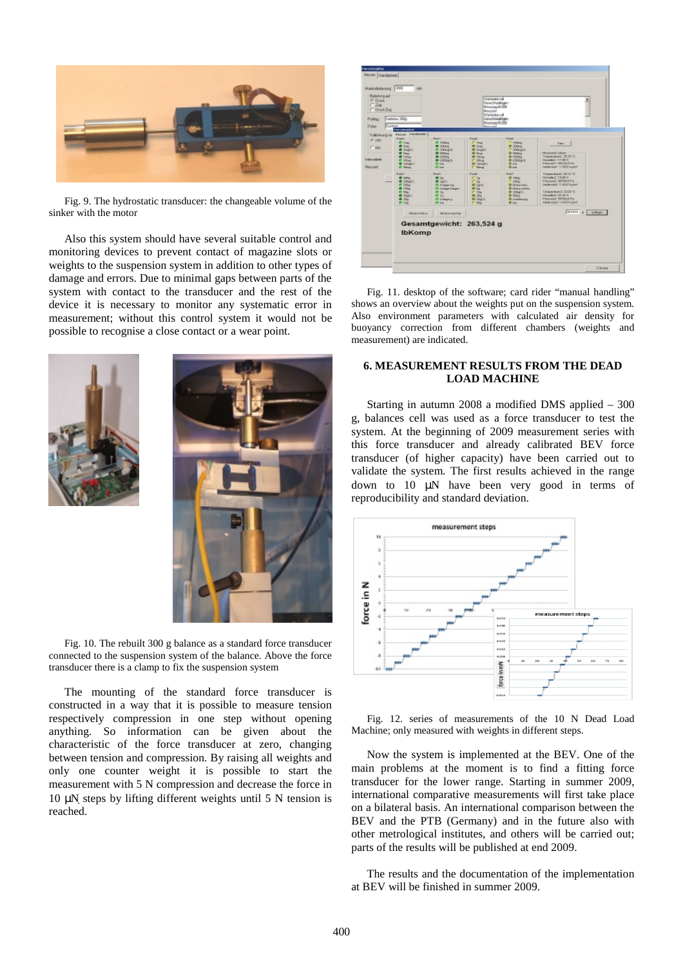

Fig. 9. The hydrostatic transducer: the changeable volume of the sinker with the motor

Also this system should have several suitable control and monitoring devices to prevent contact of magazine slots or weights to the suspension system in addition to other types of damage and errors. Due to minimal gaps between parts of the system with contact to the transducer and the rest of the device it is necessary to monitor any systematic error in measurement; without this control system it would not be possible to recognise a close contact or a wear point.





Fig. 10. The rebuilt 300 g balance as a standard force transducer connected to the suspension system of the balance. Above the force transducer there is a clamp to fix the suspension system

The mounting of the standard force transducer is constructed in a way that it is possible to measure tension respectively compression in one step without opening anything. So information can be given about the characteristic of the force transducer at zero, changing between tension and compression. By raising all weights and only one counter weight it is possible to start the measurement with 5 N compression and decrease the force in 10 μN steps by lifting different weights until 5 N tension is reached.



Fig. 11. desktop of the software; card rider "manual handling" shows an overview about the weights put on the suspension system. Also environment parameters with calculated air density for buoyancy correction from different chambers (weights and measurement) are indicated.

#### **6. MEASUREMENT RESULTS FROM THE DEAD LOAD MACHINE**

Starting in autumn 2008 a modified DMS applied – 300 g, balances cell was used as a force transducer to test the system. At the beginning of 2009 measurement series with this force transducer and already calibrated BEV force transducer (of higher capacity) have been carried out to validate the system. The first results achieved in the range down to 10 μN have been very good in terms of reproducibility and standard deviation.



Fig. 12. series of measurements of the 10 N Dead Load Machine; only measured with weights in different steps.

Now the system is implemented at the BEV. One of the main problems at the moment is to find a fitting force transducer for the lower range. Starting in summer 2009, international comparative measurements will first take place on a bilateral basis. An international comparison between the BEV and the PTB (Germany) and in the future also with other metrological institutes, and others will be carried out; parts of the results will be published at end 2009.

The results and the documentation of the implementation at BEV will be finished in summer 2009.